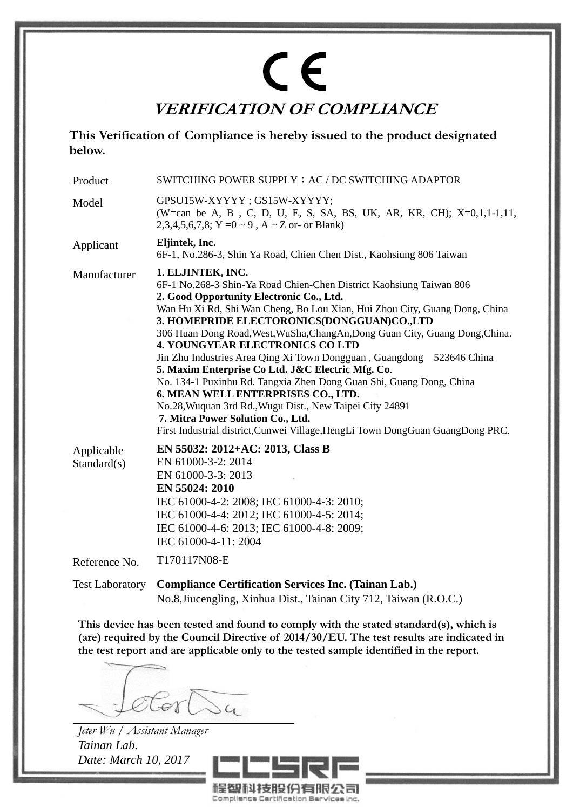# $C \in$ **VERIFICATION OF COMPLIANCE**

**This Verification of Compliance is hereby issued to the product designated below.** 

| Product                   | SWITCHING POWER SUPPLY ; AC / DC SWITCHING ADAPTOR                                                                                                                                                                                                                                                                                                                                                                                                                                                                                                                                                                                                                                                                                                                                                                        |
|---------------------------|---------------------------------------------------------------------------------------------------------------------------------------------------------------------------------------------------------------------------------------------------------------------------------------------------------------------------------------------------------------------------------------------------------------------------------------------------------------------------------------------------------------------------------------------------------------------------------------------------------------------------------------------------------------------------------------------------------------------------------------------------------------------------------------------------------------------------|
| Model                     | GPSU15W-XYYYY; GS15W-XYYYY;<br>(W=can be A, B, C, D, U, E, S, SA, BS, UK, AR, KR, CH); X=0,1,1-1,11,<br>2,3,4,5,6,7,8; Y = $0 \sim 9$ , A $\sim$ Z or- or Blank)                                                                                                                                                                                                                                                                                                                                                                                                                                                                                                                                                                                                                                                          |
| Applicant                 | Eljintek, Inc.<br>6F-1, No.286-3, Shin Ya Road, Chien Chen Dist., Kaohsiung 806 Taiwan                                                                                                                                                                                                                                                                                                                                                                                                                                                                                                                                                                                                                                                                                                                                    |
| Manufacturer              | 1. ELJINTEK, INC.<br>6F-1 No.268-3 Shin-Ya Road Chien-Chen District Kaohsiung Taiwan 806<br>2. Good Opportunity Electronic Co., Ltd.<br>Wan Hu Xi Rd, Shi Wan Cheng, Bo Lou Xian, Hui Zhou City, Guang Dong, China<br>3. HOMEPRIDE ELECTORONICS(DONGGUAN)CO.,LTD<br>306 Huan Dong Road, West, WuSha, Chang An, Dong Guan City, Guang Dong, China.<br><b>4. YOUNGYEAR ELECTRONICS CO LTD</b><br>Jin Zhu Industries Area Qing Xi Town Dongguan, Guangdong 523646 China<br>5. Maxim Enterprise Co Ltd. J&C Electric Mfg. Co.<br>No. 134-1 Puxinhu Rd. Tangxia Zhen Dong Guan Shi, Guang Dong, China<br>6. MEAN WELL ENTERPRISES CO., LTD.<br>No.28, Wuquan 3rd Rd., Wugu Dist., New Taipei City 24891<br>7. Mitra Power Solution Co., Ltd.<br>First Industrial district, Cunwei Village, HengLi Town DongGuan GuangDong PRC. |
| Applicable<br>Standard(s) | EN 55032: 2012+AC: 2013, Class B<br>EN 61000-3-2: 2014<br>EN 61000-3-3: 2013<br>EN 55024: 2010<br>IEC 61000-4-2: 2008; IEC 61000-4-3: 2010;<br>IEC 61000-4-4: 2012; IEC 61000-4-5: 2014;<br>IEC 61000-4-6: 2013; IEC 61000-4-8: 2009;<br>IEC 61000-4-11: 2004                                                                                                                                                                                                                                                                                                                                                                                                                                                                                                                                                             |
| Reference No.             | T170117N08-E                                                                                                                                                                                                                                                                                                                                                                                                                                                                                                                                                                                                                                                                                                                                                                                                              |
| <b>Test Laboratory</b>    | <b>Compliance Certification Services Inc. (Tainan Lab.)</b>                                                                                                                                                                                                                                                                                                                                                                                                                                                                                                                                                                                                                                                                                                                                                               |

No.8,Jiucengling, Xinhua Dist., Tainan City 712, Taiwan (R.O.C.)

**This device has been tested and found to comply with the stated standard(s), which is (are) required by the Council Directive of 2014/30/EU. The test results are indicated in the test report and are applicable only to the tested sample identified in the report.** 

 $\overline{\lambda\alpha}$ 

*Jeter Wu / Assistant Manager Tainan Lab. Date: March 10, 2017*